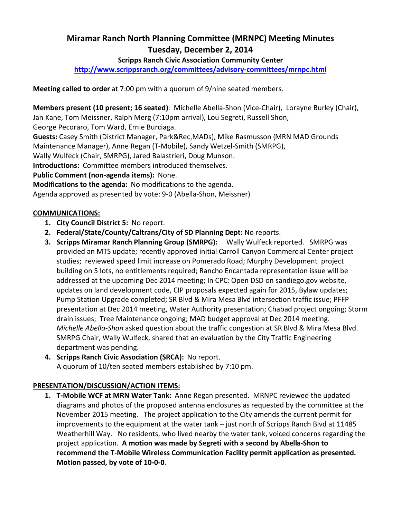# Miramar Ranch North Planning Committee (MRNPC) Meeting Minutes Tuesday, December 2, 2014

### Scripps Ranch Civic Association Community Center

http://www.scrippsranch.org/committees/advisory-committees/mrnpc.html

Meeting called to order at 7:00 pm with a quorum of 9/nine seated members.

Members present (10 present; 16 seated): Michelle Abella-Shon (Vice-Chair), Lorayne Burley (Chair), Jan Kane, Tom Meissner, Ralph Merg (7:10pm arrival), Lou Segreti, Russell Shon,

George Pecoraro, Tom Ward, Ernie Burciaga.

Guests: Casey Smith (District Manager, Park&Rec,MADs), Mike Rasmusson (MRN MAD Grounds Maintenance Manager), Anne Regan (T-Mobile), Sandy Wetzel-Smith (SMRPG),

Wally Wulfeck (Chair, SMRPG), Jared Balastrieri, Doug Munson.

Introductions: Committee members introduced themselves.

Public Comment (non-agenda items): None.

Modifications to the agenda: No modifications to the agenda.

Agenda approved as presented by vote: 9-0 (Abella-Shon, Meissner)

#### COMMUNICATIONS:

- 1. City Council District 5: No report.
- 2. Federal/State/County/Caltrans/City of SD Planning Dept: No reports.
- 3. Scripps Miramar Ranch Planning Group (SMRPG): Wally Wulfeck reported. SMRPG was provided an MTS update; recently approved initial Carroll Canyon Commercial Center project studies; reviewed speed limit increase on Pomerado Road; Murphy Development project building on 5 lots, no entitlements required; Rancho Encantada representation issue will be addressed at the upcoming Dec 2014 meeting; In CPC: Open DSD on sandiego.gov website, updates on land development code, CIP proposals expected again for 2015, Bylaw updates; Pump Station Upgrade completed; SR Blvd & Mira Mesa Blvd intersection traffic issue; PFFP presentation at Dec 2014 meeting, Water Authority presentation; Chabad project ongoing; Storm drain issues; Tree Maintenance ongoing; MAD budget approval at Dec 2014 meeting. Michelle Abella-Shon asked question about the traffic congestion at SR Blvd & Mira Mesa Blvd. SMRPG Chair, Wally Wulfeck, shared that an evaluation by the City Traffic Engineering department was pending.
- 4. Scripps Ranch Civic Association (SRCA): No report. A quorum of 10/ten seated members established by 7:10 pm.

## PRESENTATION/DISCUSSION/ACTION ITEMS:

1. T-Mobile WCF at MRN Water Tank: Anne Regan presented. MRNPC reviewed the updated diagrams and photos of the proposed antenna enclosures as requested by the committee at the November 2015 meeting. The project application to the City amends the current permit for improvements to the equipment at the water tank – just north of Scripps Ranch Blvd at 11485 Weatherhill Way. No residents, who lived nearby the water tank, voiced concerns regarding the project application. A motion was made by Segreti with a second by Abella-Shon to recommend the T-Mobile Wireless Communication Facility permit application as presented. Motion passed, by vote of 10-0-0.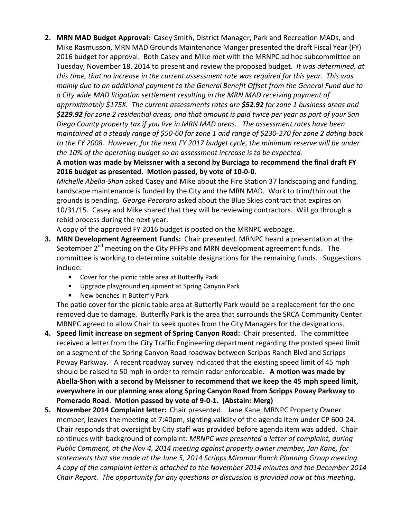2. MRN MAD Budget Approval: Casey Smith, District Manager, Park and Recreation MADs, and Mike Rasmusson, MRN MAD Grounds Maintenance Manger presented the draft Fiscal Year (FY) 2016 budget for approval. Both Casey and Mike met with the MRNPC ad hoc subcommittee on Tuesday, November 18, 2014 to present and review the proposed budget. It was determined, at this time, that no increase in the current assessment rate was required for this year. This was mainly due to an additional payment to the General Benefit Offset from the General Fund due to a City wide MAD litigation settlement resulting in the MRN MAD receiving payment of approximately \$175K. The current assessments rates are \$52.92 for zone 1 business areas and \$229.92 for zone 2 residential areas, and that amount is paid twice per year as part of your San Diego County property tax if you live in MRN MAD areas. The assessment rates have been maintained at a steady range of \$50-60 for zone 1 and range of \$230-270 for zone 2 dating back to the FY 2008. However, for the next FY 2017 budget cycle, the minimum reserve will be under the 10% of the operating budget so an assessment increase is to be expected.

A motion was made by Meissner with a second by Burciaga to recommend the final draft FY 2016 budget as presented. Motion passed, by vote of 10-0-0.

Michelle Abella-Shon asked Casey and Mike about the Fire Station 37 landscaping and funding. Landscape maintenance is funded by the City and the MRN MAD. Work to trim/thin out the grounds is pending. George Pecoraro asked about the Blue Skies contract that expires on 10/31/15. Casey and Mike shared that they will be reviewing contractors. Will go through a rebid process during the next year.

A copy of the approved FY 2016 budget is posted on the MRNPC webpage.

- 3. MRN Development Agreement Funds: Chair presented. MRNPC heard a presentation at the September  $2^{nd}$  meeting on the City PFFPs and MRN development agreement funds. The committee is working to determine suitable designations for the remaining funds. Suggestions include:
	- Cover for the picnic table area at Butterfly Park
	- Upgrade playground equipment at Spring Canyon Park
	- New benches in Butterfly Park

The patio cover for the picnic table area at Butterfly Park would be a replacement for the one removed due to damage. Butterfly Park is the area that surrounds the SRCA Community Center. MRNPC agreed to allow Chair to seek quotes from the City Managers for the designations.

- 4. Speed limit increase on segment of Spring Canyon Road: Chair presented. The committee received a letter from the City Traffic Engineering department regarding the posted speed limit on a segment of the Spring Canyon Road roadway between Scripps Ranch Blvd and Scripps Poway Parkway. A recent roadway survey indicated that the existing speed limit of 45 mph should be raised to 50 mph in order to remain radar enforceable. A motion was made by Abella-Shon with a second by Meissner to recommend that we keep the 45 mph speed limit, everywhere in our planning area along Spring Canyon Road from Scripps Poway Parkway to Pomerado Road. Motion passed by vote of 9-0-1. (Abstain: Merg)
- 5. November 2014 Complaint letter: Chair presented. Jane Kane, MRNPC Property Owner member, leaves the meeting at 7:40pm, sighting validity of the agenda item under CP 600-24. Chair responds that oversight by City staff was provided before agenda item was added. Chair continues with background of complaint: MRNPC was presented a letter of complaint, during Public Comment, at the Nov 4, 2014 meeting against property owner member, Jan Kane, for statements that she made at the June 5, 2014 Scripps Miramar Ranch Planning Group meeting. A copy of the complaint letter is attached to the November 2014 minutes and the December 2014 Chair Report. The opportunity for any questions or discussion is provided now at this meeting.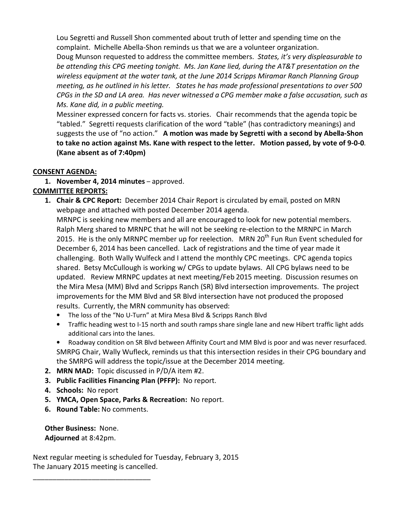Lou Segretti and Russell Shon commented about truth of letter and spending time on the complaint. Michelle Abella-Shon reminds us that we are a volunteer organization. Doug Munson requested to address the committee members. States, it's very displeasurable to be attending this CPG meeting tonight. Ms. Jan Kane lied, during the AT&T presentation on the wireless equipment at the water tank, at the June 2014 Scripps Miramar Ranch Planning Group meeting, as he outlined in his letter. States he has made professional presentations to over 500 CPGs in the SD and LA area. Has never witnessed a CPG member make a false accusation, such as Ms. Kane did, in a public meeting.

Messiner expressed concern for facts vs. stories. Chair recommends that the agenda topic be "tabled." Segretti requests clarification of the word "table" (has contradictory meanings) and suggests the use of "no action." A motion was made by Segretti with a second by Abella-Shon to take no action against Ms. Kane with respect to the letter. Motion passed, by vote of 9-0-0. (Kane absent as of 7:40pm)

#### CONSENT AGENDA:

1. November 4, 2014 minutes – approved. COMMITTEE REPORTS:

**1. Chair & CPC Report:** December 2014 Chair Report is circulated by email, posted on MRN webpage and attached with posted December 2014 agenda.

MRNPC is seeking new members and all are encouraged to look for new potential members. Ralph Merg shared to MRNPC that he will not be seeking re-election to the MRNPC in March 2015. He is the only MRNPC member up for reelection. MRN 20<sup>th</sup> Fun Run Event scheduled for December 6, 2014 has been cancelled. Lack of registrations and the time of year made it challenging. Both Wally Wulfeck and I attend the monthly CPC meetings. CPC agenda topics shared. Betsy McCullough is working w/ CPGs to update bylaws. All CPG bylaws need to be updated. Review MRNPC updates at next meeting/Feb 2015 meeting. Discussion resumes on the Mira Mesa (MM) Blvd and Scripps Ranch (SR) Blvd intersection improvements. The project improvements for the MM Blvd and SR Blvd intersection have not produced the proposed results. Currently, the MRN community has observed:

- The loss of the "No U-Turn" at Mira Mesa Blvd & Scripps Ranch Blvd
- Traffic heading west to I-15 north and south ramps share single lane and new Hibert traffic light adds additional cars into the lanes.
- Roadway condition on SR Blvd between Affinity Court and MM Blvd is poor and was never resurfaced. SMRPG Chair, Wally Wufleck, reminds us that this intersection resides in their CPG boundary and the SMRPG will address the topic/issue at the December 2014 meeting.
- 2. MRN MAD: Topic discussed in P/D/A item #2.
- 3. Public Facilities Financing Plan (PFFP): No report.
- 4. Schools: No report
- 5. YMCA, Open Space, Parks & Recreation: No report.
- 6. Round Table: No comments.

\_\_\_\_\_\_\_\_\_\_\_\_\_\_\_\_\_\_\_\_\_\_\_\_\_\_\_\_\_\_

Other Business: None. Adjourned at 8:42pm.

Next regular meeting is scheduled for Tuesday, February 3, 2015 The January 2015 meeting is cancelled.